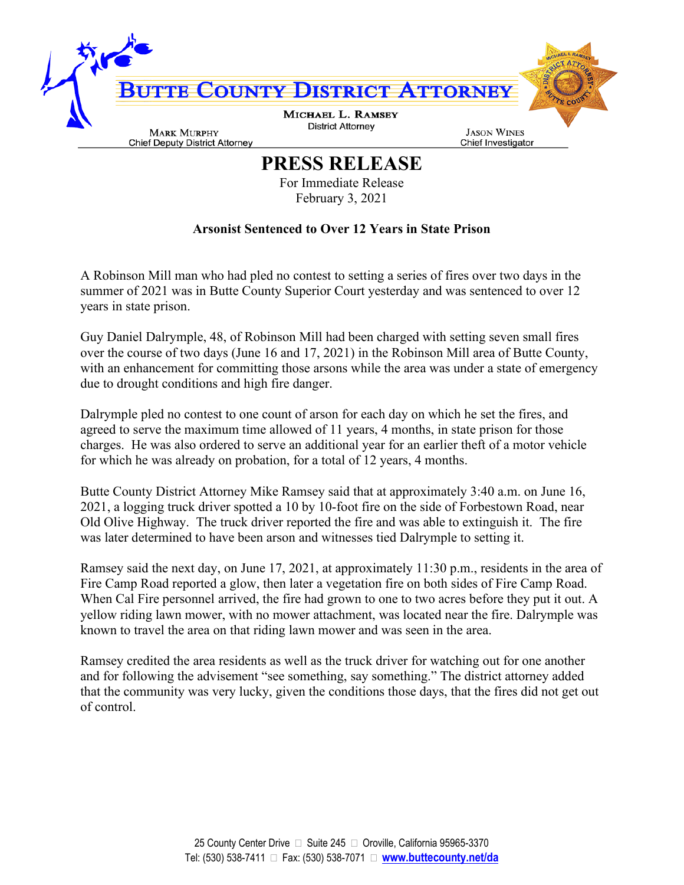

## **PRESS RELEASE**

For Immediate Release February 3, 2021

## **Arsonist Sentenced to Over 12 Years in State Prison**

A Robinson Mill man who had pled no contest to setting a series of fires over two days in the summer of 2021 was in Butte County Superior Court yesterday and was sentenced to over 12 years in state prison.

Guy Daniel Dalrymple, 48, of Robinson Mill had been charged with setting seven small fires over the course of two days (June 16 and 17, 2021) in the Robinson Mill area of Butte County, with an enhancement for committing those arsons while the area was under a state of emergency due to drought conditions and high fire danger.

Dalrymple pled no contest to one count of arson for each day on which he set the fires, and agreed to serve the maximum time allowed of 11 years, 4 months, in state prison for those charges. He was also ordered to serve an additional year for an earlier theft of a motor vehicle for which he was already on probation, for a total of 12 years, 4 months.

Butte County District Attorney Mike Ramsey said that at approximately 3:40 a.m. on June 16, 2021, a logging truck driver spotted a 10 by 10-foot fire on the side of Forbestown Road, near Old Olive Highway. The truck driver reported the fire and was able to extinguish it. The fire was later determined to have been arson and witnesses tied Dalrymple to setting it.

Ramsey said the next day, on June 17, 2021, at approximately 11:30 p.m., residents in the area of Fire Camp Road reported a glow, then later a vegetation fire on both sides of Fire Camp Road. When Cal Fire personnel arrived, the fire had grown to one to two acres before they put it out. A yellow riding lawn mower, with no mower attachment, was located near the fire. Dalrymple was known to travel the area on that riding lawn mower and was seen in the area.

Ramsey credited the area residents as well as the truck driver for watching out for one another and for following the advisement "see something, say something." The district attorney added that the community was very lucky, given the conditions those days, that the fires did not get out of control.